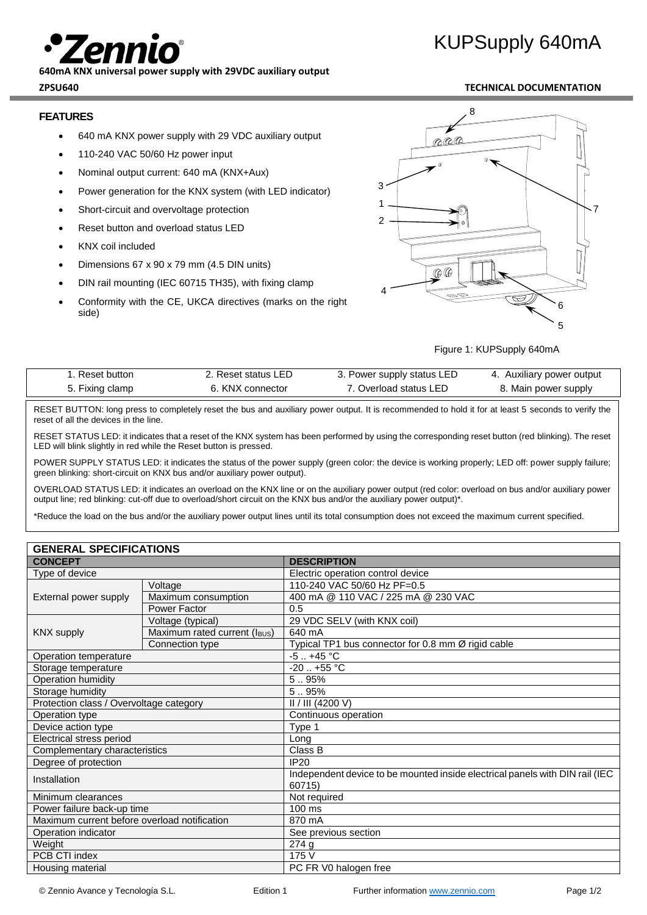**640mA KNX universal power supply with 29VDC auxiliary output ZPSU640 TECHNICAL DOCUMENTATION**

### **FEATURES**

- 640 mA KNX power supply with 29 VDC auxiliary output
- 110-240 VAC 50/60 Hz power input
- Nominal output current: 640 mA (KNX+Aux)
- Power generation for the KNX system (with LED indicator)
- Short-circuit and overvoltage protection
- Reset button and overload status LED
- KNX coil included
- Dimensions 67 x 90 x 79 mm (4.5 DIN units)
- DIN rail mounting (IEC 60715 TH35), with fixing clamp
- Conformity with the CE, UKCA directives (marks on the right side)

# KUPSupply 640mA



Figure 1: KUPSupply 640mA

| <b>Reset button</b> | . Reset status LED | 3. Power supply status LED | 4. Auxiliary power output |
|---------------------|--------------------|----------------------------|---------------------------|
| 5. Fixing clamp     | 6. KNX connector   | 7. Overload status LED     | 8. Main power supply      |

RESET BUTTON: long press to completely reset the bus and auxiliary power output. It is recommended to hold it for at least 5 seconds to verify the reset of all the devices in the line.

RESET STATUS LED: it indicates that a reset of the KNX system has been performed by using the corresponding reset button (red blinking). The reset LED will blink slightly in red while the Reset button is pressed.

POWER SUPPLY STATUS LED: it indicates the status of the power supply (green color: the device is working properly; LED off: power supply failure; green blinking: short-circuit on KNX bus and/or auxiliary power output).

OVERLOAD STATUS LED: it indicates an overload on the KNX line or on the auxiliary power output (red color: overload on bus and/or auxiliary power output line; red blinking: cut-off due to overload/short circuit on the KNX bus and/or the auxiliary power output)\*.

\*Reduce the load on the bus and/or the auxiliary power output lines until its total consumption does not exceed the maximum current specified.

### **GENERAL SPECIFICATIONS**

| <b>CONCEPT</b>                               |                              | <b>DESCRIPTION</b>                                                                     |  |  |
|----------------------------------------------|------------------------------|----------------------------------------------------------------------------------------|--|--|
| Type of device                               |                              | Electric operation control device                                                      |  |  |
| External power supply                        | Voltage                      | 110-240 VAC 50/60 Hz PF=0.5                                                            |  |  |
|                                              | Maximum consumption          | 400 mA @ 110 VAC / 225 mA @ 230 VAC                                                    |  |  |
|                                              | Power Factor                 | 0.5                                                                                    |  |  |
| <b>KNX supply</b>                            | Voltage (typical)            | 29 VDC SELV (with KNX coil)                                                            |  |  |
|                                              | Maximum rated current (IBUS) | 640 mA                                                                                 |  |  |
|                                              | Connection type              | Typical TP1 bus connector for 0.8 mm Ø rigid cable                                     |  |  |
| Operation temperature                        |                              | $-5$ +45 °C                                                                            |  |  |
| Storage temperature                          |                              | $-20$ $+55$ °C                                                                         |  |  |
| Operation humidity                           |                              | 5.95%                                                                                  |  |  |
| Storage humidity                             |                              | 5.95%                                                                                  |  |  |
| Protection class / Overvoltage category      |                              | II / III (4200 V)                                                                      |  |  |
| Operation type                               |                              | Continuous operation                                                                   |  |  |
| Device action type                           |                              | Type 1                                                                                 |  |  |
| Electrical stress period                     |                              | Long                                                                                   |  |  |
| Complementary characteristics                |                              | Class B                                                                                |  |  |
| Degree of protection                         |                              | <b>IP20</b>                                                                            |  |  |
| Installation                                 |                              | Independent device to be mounted inside electrical panels with DIN rail (IEC<br>60715) |  |  |
| Minimum clearances                           |                              | Not required                                                                           |  |  |
| Power failure back-up time                   |                              | 100 ms                                                                                 |  |  |
| Maximum current before overload notification |                              | 870 mA                                                                                 |  |  |
| Operation indicator                          |                              | See previous section                                                                   |  |  |
| Weight                                       |                              | 274g                                                                                   |  |  |
| PCB CTI index                                |                              | 175 V                                                                                  |  |  |
| Housing material                             |                              | PC FR V0 halogen free                                                                  |  |  |